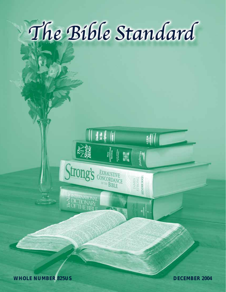

**III** 

Strong's EXHAUSTIVE

<sup>IRDAN</sup><br>BIBLE

**The Nine** 

E INTERNATIONAL

訓

 $z$ ondervan

FAMES<br>STRONG<br>**HENDRUNSON** 

**WHOLE NUMBER 825US DECEMBER 2004**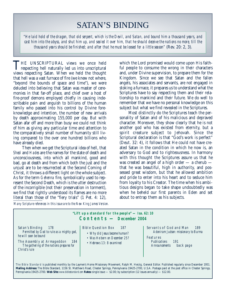# SATAN'S BINDING

*"He laid hold of the dragon, that old serpent, which is the Devil, and Satan, and bound him a thousand years, and cast him into the abyss, and shut him up, and sealed it over him, that he should deceive the nations no more, till the thousand years should be finished; and after that he must be loosed for a little season"* (Rev. 20: 2, 3).

THE UNSCRIPTURAL views we once held<br>respecting hell naturally led us into unscriptural views respecting Satan. When we held the thought that hell was a vast furnace of fire (we knew not where, "beyond the bounds of space and time"), we were deluded into believing that Satan was master of ceremonies in that far-off place, and chief over a host of fire-proof demons employed chiefly in causing indescribable pain and anguish to billions of the human family who passed into his control by Divine foreknowledge and intention, the number of new arrivals by death approximating 155,000 per day. But with Satan afar off and more than busy we could not think of him as giving any particular time and attention to the comparatively small number of humanity still living compared to the over one hundred billions who have already died.

Then when we get the Scriptural idea of hell, that *Sheol* and *Hades* are the names for the state of death and unconsciousness, into which all mankind, good and bad, go at death and from which both the just and the unjust are to be resurrected at the Second Coming of Christ, it throws a different light on the whole subject. As for the term *Gehenna* fire, symbolically used to represent the Second Death, which is the utter destruction of the incorrigible (not their preservation in torment), we find that rightly understood its flames are no more literal than those of the "fiery trials" (1 Pet. 4: 12),

which the Lord promised would come upon His faithful people to consume the wrong in their characters and, under Divine supervision, to prepare them for the Kingdom. Since we see that Satan and the fallen angels, his associates and servants, are not engaged in stoking a furnace, it prepares us to understand what the Scriptures have to say respecting them and their relationship to mankind and their future. We do well to remember that we have no personal knowledge on this subject but what we find revealed in the Scriptures.

Most distinctly do the Scriptures teach the personality of Satan and of his malicious and depraved character. Moreover, they show clearly that he is not another god who has existed from eternity, but a spirit creature subject to Jehovah. Since the Scriptural declaration is that "God's work is perfect" (Deut. 32: 4), it follows that He could not have created Satan in the condition in which he now is, an adversary to God and to righteousness. In harmony with this thought the Scriptures assure us that he was created an angel of a high order — a cherub that he was beautiful, high in authority, and possessed great wisdom, but that he allowed ambition and pride to enter into his heart and to seduce him from loyalty to his Creator. The time when his ambitious designs began to take shape undoubtedly was when he beheld our first parents in Eden and set about to entrap them as his subjects.

*Many Scripture references in this issue are to the New King James Version.*

| "Lift up a standard for the people" $-$ Isa. 62: 10<br>$\text{Contents} - \text{December } 2004$                                                                                                |                                                                                                                           |                                                                                                                                                 |  |  |
|-------------------------------------------------------------------------------------------------------------------------------------------------------------------------------------------------|---------------------------------------------------------------------------------------------------------------------------|-------------------------------------------------------------------------------------------------------------------------------------------------|--|--|
| Satan's Binding<br>178<br>Permitted by God to rule as a mighty god,<br>he will soon be bound<br>The Assembly at Armageddon<br>184<br>The gathering of the nations prepares for<br>Christ's rule | Bible Question Box<br>- 187<br>• Why did Jesus become human?<br>• Was He born on December 25?<br>• Hebrews 13: 8 examined | Servants of God and Man<br>189<br>Adoniram Judson: missionary to Burma<br>Features<br>Publications<br>-191<br>back page<br><b>Announcements</b> |  |  |

The Bible Standard is published monthly by the Laymen's Home Missionary Movement, Ralph M. Herzig, General Editor. Published regularly since December 1951. **Mailing Address:** The Bible Standard, 1156 St. Matthew's Road, Chester Springs, Pennsylvania 19425-2700, U.S.A. Postage paid at the post office in Chester Springs, Pennsylvania 19425-2700. **Web Site:** *www.biblestandard.com* **Rates:** single issue — \$2.00; by subscription (12 issues annually) — \$12.00.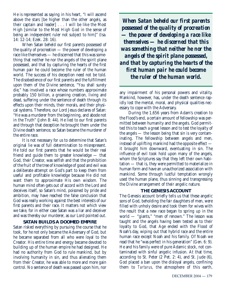He is represented as saying in his heart, "I will ascend above the stars [be higher than the other angels, as their captain and leader] . . . I will be like the Most High [similar to the Most High God in the sense of being an independent ruler not subject to him]" (Isa. 14: 12-14; Ezek. 28: 16).

When Satan beheld our first parents possessed of the quality of procreation — the power of developing a race like themselves — he discerned that this was something that neither he nor the angels of the spirit plane possessed, and that by capturing the hearts of the first human pair he could become the ruler of the human world. The success of his deception need not be told. The disobedience of our first parents and the fulfillment upon them of the Divine sentence, "You shall surely die," has involved a race whose numbers approximate probably 150 billion, a groaning creation, living and dead, suffering under the sentence of death through its effects upon their minds, their morals, and their physical systems. Therefore, our Lord Jesus declares of Satan: "He was a murderer from the beginning, and abode not in the Truth" (John 8: 44). He lied to our first parents and through that deception he brought them under the Divine death sentence, so Satan became the murderer of the entire race.

It is not necessary for us to determine that Satan's original lie was of full determination to misrepresent. He told our first parents that he would be their real friend and guide them to greater knowledge — that God, their Creator, was selfish and that the prohibition of the fruit of the tree of knowledge of good and evil was a deliberate attempt on God's part to keep them from useful and profitable knowledge because He did not want them to approximate His own wisdom. The human mind often gets out of accord with the Lord and deceives itself, so Satan's mind, poisoned by pride and ambition, may have reached the false conclusion that God was really working against the best interests of our first parents and their race. It matters not which view we take, for in either case Satan was a liar and deceiver and was thereby our murderer, as our Lord pointed out.

### **SATAN BUILDS A DOOMED EMPIRE**

Satan risked everything by pursuing the course that he took, for he not only became the Adversary of God, but he became separated from all who were loyal to the Creator. His entire time and energy became devoted to building up of the human empire he had designed. He had no authority from God to rule mankind, but by involving humanity in sin, and thus alienating them from their Creator, he was able to more and more gain control. No sentence of death was passed upon him, nor

*When Satan beheld our first parents possessed of the quality of procreation — the power of developing a race like themselves — he discerned that this was something that neither he nor the angels of the spirit plane possessed, and that by capturing the hearts of the first human pair he could become the ruler of the human world.*

any impairment of his personal powers and vitality. Mankind, however, has, under the death sentence rapidly lost the mental, moral, and physical qualities necessary to cope with the Adversary.

During the 1,656 years from Adam's creation to the Flood's end, a certain amount of fellowship was permitted between humanity and the angels. God permitted this to teach a great lesson and to test the loyalty of the angels — the lesson being that sin is very contaminating. The fellowship between angels and men, instead of uplifting mankind had the opposite effect it brought him downward, eventuating in sin. The influence of evil took hold upon many of the angels, whom the Scriptures say that they left their own habitation — that is, they were permitted to materialize in human form and have an unauthorized association with mankind. Some through lustful temptation wrongly used the human plane, thus sinning and transgressing the Divine arrangement of their angelic nature.

### **THE GENESIS ACCOUNT**

The Genesis account briefly tells us that these angelic sons of God, beholding the fair daughters of men, were filled with unholy desire and took them for wives with the result that a new race began to spring up in the world — "giants," "men of renown." The lesson was taught and the angels having been tested as to their loyalty to God, that Age ended with the Flood of Noah's day, wiping out that hybrid race and the entire human race except Noah and his family. Of Noah we read that he "was perfect in his generation" (Gen. 6: 9). He and his family were of pure Adamic stock, not contaminated with sinful angelic infusion. At that time, according to St. Peter (2 Pet. 2: 4), and St. Jude (6), God placed a ban upon the disloyal angels, confining them to *Tartarus*, the atmosphere of this earth,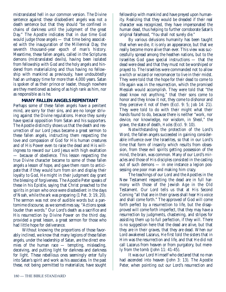mistranslated hell in our common version. The Divine sentence against these disobedient angels was not a death sentence but that they should "be confined in chains of darkness until the judgment of the great Day." The Apostle indicates that in due time God would judge those angels — that time being associated with the inauguration of the Millennial Day, the seventh thousand-year epoch of man's history. Meantime, these fallen angels, called in the Scriptures demons (mistranslated devils), having been isolated from fellowship with God and the holy angels and hindered from materializing and thus having no fellowship with mankind as previously, have undoubtedly had an unhappy time for more than 4,000 years. Satan is spoken of as their prince or leader, though nowhere are they mentioned as being of as high rank as him, nor as responsible as is he.

### **MANY FALLEN ANGELS REPENTANT**

Perhaps some of these fallen angels have a penitent mind, are sorry for their sins, and are no longer striving against the Divine regulations. Hence they surely have special opposition from Satan and his supporters. The Apostle distinctly shows us that the death and resurrection of our Lord Jesus became a great sermon to these fallen angels, instructing them respecting the love and compassion of God for His human creatures and of His Power even to raise the dead and His willingness to reward our Lord Jesus with high exaltation — because of obedience. This lesson respecting the true Divine character became to some of these fallen angels a lesson of hope, and gave them room to anticipate that if they would turn from sin and display their loyalty to God, He might in their judgment day grant the blessing of forgiveness. The Apostle Peter speaks of these in his Epistle, saying that Christ preached to the spirits in prison who once were disobedient in the days of Noah, while the ark was preparing (1 Pet. 3: 19, 20). The sermon was not one of audible words but a pantomime discourse, as we sometimes say, "Actions speak louder than words." Our Lord's death as a sacrifice and His resurrection by Divine Power on the third day, provided a great lesson, a great sermon for those who had little hope for deliverance.

Without knowing the proportions of those favorably inclined, we know that many legions of these fallen angels, under the leadership of Satan, are the direct enemies of the human race — tempting, misleading, deceiving, and putting light for darkness and darkness for light. These rebellious ones seemingly enter fully into Satan's spirit and work as his associates. In the past these, not being permitted to materialize, have sought

fellowship with mankind and have preyed upon humanity. Realizing that they would be dreaded if their real character was recognized, they have impersonated the human dead, thus helping to further corroborate Satan's original falsehood, "You shall not surely die."

By various delusions humanity has been taught that when we die, it is only an appearance, but that we really become more alive than ever. This view was successfully spread among the heathen nations, but to the Israelites God gave special instructions — that the dead were dead and that they must not be worshiped or prayed to. The Israelites were commanded not to allow a witch or wizard or necromancer to live in their midst. They were told that the hope for their dead to come to life again was in the resurrection, which the promised Messiah would accomplish. They were told that "the dead know not anything," that their sons come to honor and they know it not, they come to dishonor and they perceive it not of them (Eccl. 9: 5; Job 14: 21). They were told to do with their might what their hands found to do, because there is neither "work, nor device, nor knowledge, nor wisdom, in Sheol," the grave, the state of death, *Hades* (Eccl. 9: 10).

Notwithstanding the protection of the Lord's Word, the fallen angels succeeded in gaining considerable influence over the Israelites, so that in our Lord's time that form of insanity which results from obsession, from these evil spirits getting possession of the mind, the brain, was common. Many of our Lord's miracles and those of His disciples consisted in the casting out of such demons — in one instance a legion possessing one poor man and making him crazy.

The teachings of our Lord and the Apostles in the New Testament respecting the dead are in full harmony with those of the Jewish Age in the Old Testament. Our Lord tells us that at His Second Coming "all that are in their graves shall hear His voice and shall come forth." The approved of God will come forth perfect by a resurrection to life, but the disapproved will come forth imperfect, that they may have a resurrection by judgments, chastening, and stripes for assisting them up to full perfection, if they will. There is no suggestion here that the dead are alive, but that they are in their graves, that they are dead. When our Lord awakened Lazarus, He first told the sisters that in Him was the resurrection and life, and that He did not call Lazarus from heaven or from purgatory, but merely from the tomb (John 11: 41-45).

It was our Lord Himself who declared that no man had ascended into heaven (John 3: 13). The Apostle Peter, when pointing out our Lord's resurrection and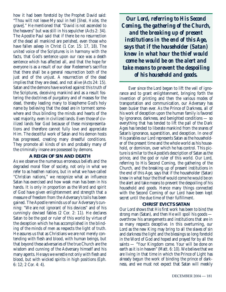how it had been foretold by the Prophet David said: "Thou wilt not leave My soul in hell [*Sheol, Hades,* the grave]." He mentioned that "David is not ascended to the heavens" but was still in his sepulcher (Acts 2: 34). The Apostle Paul said that if there be no resurrection of the dead all mankind are perished, even those who have fallen asleep in Christ (1 Cor. 15: 17, 18). The united voice of the Scriptures is in harmony with the facts, that God's sentence upon our race was a death sentence which has affected all, and that the hope for everyone is as a result of our dear Redeemer's sacrifice that there shall be a general resurrection both of the just and of the unjust. A resurrection of the dead implies that they are dead, and not alive (Acts 24: 15). Satan and the demons have worked against this truth of the Scriptures, deceiving mankind and as a result fostering the doctrines of purgatory and of masses for the dead, thereby leading many to blaspheme God's holy name by believing that the dead are in torment somewhere and thus blinding the minds and hearts of the vast majority, even in civilized lands. Even those of civilized lands fear God because of these misrepresentations and therefore cannot fully love and appreciate Him. The deceitful work of Satan and his demon hosts has progressed, creating many dreadful conditions. They promote all kinds of sin and probably many of the criminally insane are possessed by demons.

### **A REIGN OF SIN AND DEATH**

As we observe the numerous erroneous beliefs and the degraded moral fiber of society, not only in what we refer to as heathen nations, but in what we have called "Christian nations," we recognize what an influence Satan has exercised and how weak man has been in his hands. It is only in proportion as the Word and spirit of God have given enlightenment and strength that a measure of freedom from the Adversary's toils has been gained. The Apostle reminds us of our Adversary's cunning: "We are not ignorant of his devices" and of his cunningly devised fables (2 Cor. 2: 11). He declares Satan to be the god or ruler of this world by virtue of the deception which he has accomplished in the blinding of the minds of men as respects the light of truth. He assures us that as Christians we are not merely contending with flesh and blood, with human beings, but that beyond these adversaries of the true Church are the wisdom and cunning of the Adversary himself and his many agents. He says we wrestle not only with flesh and blood, but with wicked spirits in high positions (Eph. 6: 12; 2 Cor. 4: 4).

*Our Lord, referring to His Second Coming, the gathering of the Church, and the breaking up of present institutions in the end of this Age, says that if the householder (Satan) knew in what hour the thief would come he would be on the alert and take means to prevent the despoiling of his household and goods.*

Ever since the Lord began to lift the veil of ignorance and to grant enlightenment, bringing forth the invention of printing and then the various modes of transportation and communication, our Adversary has been busier than ever. As the Prince of Darkness, all of his work of deception upon the human family is favored by ignorance, darkness, and benighted conditions — so everything that has tended to lift the pall of the Dark Ages has tended to liberate mankind from the snares of Satan's ignorance, superstition, and deception. In one of His parables our Lord represents Satan as the householder of the present time and the whole world as his household, or dominion, over which he has control. This picture is similar to the Apostle's description of Satan as the prince, and the god or ruler of this world. Our Lord, referring to His Second Coming, the gathering of the Church, and the breaking up of present institutions in the end of this Age, says that if the householder (Satan) knew in what hour the thief would come he would be on the alert and take means to prevent the despoiling of his household and goods. Hence many things connected with the Second Coming of our Lord have been kept secret until the due time of their fulfillment.

#### **CHRIST EVICTS SATAN**

Our Lord shows that His first work has been to bind the strong man (Satan), and then He will spoil his goods overthrow his arrangements and institutions that are in so many respects deceptive. In this overturning, our Lord as the new King may bring to all the slaves of sin and darkness the light and the blessings so long foretold in the Word of God and hoped and prayed for by all the saints — "Your Kingdom come. Your will be done on earth as it is in heaven" (Matt. 6: 10). We believe that we are living in that time in which the Prince of Light has already begun the work of binding the prince of darkness, and we must not expect that Satan will meekly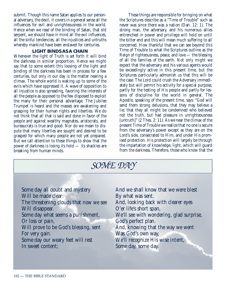submit. Though this name Satan applies to our personal adversary, the devil, it covers in a general sense all the influences for evil and unrighteousness in the world. Hence when we read of the binding of Satan, that old serpent, we should have in mind all the evil influences, all the sinful tendencies, all the injustices and untruths whereby mankind have been enslaved for centuries.

## **LIGHT BINDS AS A CHAIN**

Whenever the light of Truth is set forth it will bind the darkness in similar proportion. Hence we might say that to some extent this loosing of the light and binding of the darkness has been in process for a few centuries, but only in our day is the matter nearing a climax. The whole world is waking up to some of the evils which have oppressed it. A wave of opposition to all injustice is also spreading, favoring the interests of all the people as opposed to the few disposed to exploit the many for their personal advantage. The Jubilee Trumpet is heard and the masses are awakening and grasping for their human rights and liberties. We do not think that all that is said and done in favor of the people and against wealthy magnates, aristocrats, and bureaucrats is true and good. Nor do we mean to dispute that many liberties are sought and desired to be grasped for which many people are not yet prepared. But we call attention to these things to show that the power of darkness is losing its hold — its shackles are breaking from human minds.

These things are responsible for bringing on what the Scriptures describe as a "Time of Trouble" such as never was since there was a nation (Dan. 12: 1). The strong man, the adversary, and his numerous allies entrenched in power and privilege will hold on until the bitter end and this will mean much suffering to all concerned. How thankful that we can see beyond this Time of Trouble to what the Scriptures outline as the Reign of righteousness, peace, and love — the blessing of all the families of the earth. Not only might we expect that the adversary and his various agents would be exceedingly active in this present time, but the Scriptures particularly admonish us that this will be the case. The Lord could crush the Adversary immediately but will permit his activity for a special purpose, partly for the testing of His people and partly for lessons of discipline for the world in general. The Apostle, speaking of the present time, says: "God will send them strong delusions, that they may believe a lie; that they all might be condemned who believed not the truth, but had pleasure in unrighteousness [untruth]" (2 Thes. 2: 11). As we near the climax of the present Time of Trouble we realize that no one is secure from the adversary's power except as they are on the Lord's side, consecrated to Him, and under His promised protection. His protection will largely be through the impartation of knowledge, light, which will guard from the darkness. Therefore, those who know that the

# *SOME DAY*

Some day all doubt and mystery Will be made clear: The threatening clouds that now we see Will disappear. Some day what seems a punishment, Or loss or pain, Will prove to be God's blessing, sent For very gain. Some day our weary feet will rest In sweet content;

And we shall know that we were blest By what was sent. And, looking back with clearer eyes O'er life's short span, We'll see with wondering, glad surprise, God's perfect plan. And, knowing that the way we went Was God's own way, We'll recognize His wise intent, Some day, some day.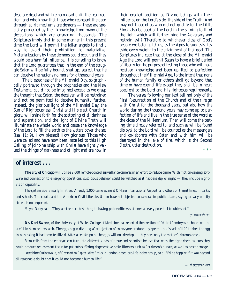dead are dead and will remain dead until the resurrection, and who know that those who represent the dead through spirit mediums are demons — these are specially protected by their knowledge from many of the deceptions which are ensnaring thousands. The Scriptures imply that in some manner in this present time the Lord will permit the fallen angels to find a way to avoid their prohibition to materialize. Materializations by these demons could occur, and they would be a harmful influence. It is consoling to know that the Lord guarantees that in the end of the struggle Satan will be fully bound, shut up, sealed, that he can deceive the nations no more for a thousand years.

The blessedness of the Millennial Day, so graphically portrayed through the prophecies and the New Testament, could not be imagined except as we grasp the thought that Satan, the deceiver, will be restrained and not be permitted to deceive humanity further. Instead, the glorious light of the Millennial Day, the Sun of Righteousness, Christ and His elect Church in glory, will shine forth for the scattering of all darkness and superstition, and the light of Divine Truth will illuminate the whole world and cause the knowledge of the Lord to fill the earth as the waters cover the sea (Isa. 11: 9). How blessed! How glorious! Those who were called and have now been installed to this High Calling of joint-heirship with Christ have rightly valued the things of darkness and of light and are now in their exalted position as Divine beings with their influence on the Lord's side, the side of the Truth! And may not those of us who did not qualify for the Little Flock also be used of the Lord in the shining forth of the light which will further bind the Adversary and restrain evil? Therefore to whichever class of God's people we belong, let us, as the Apostle suggests, lay aside every weight to the attainment of that goal. The Scriptures indicate that at the close of the Millennial Age the Lord will permit Satan to have a brief period of liberty for the purpose of testing those who will have received knowledge and been uplifted to perfection throughout the Millennial Age, to the intent that none of the human family or others shall go beyond that time or have eternal life except they shall be in heart obedient to the Lord and His righteous requirements.

The verses following our text tell not only of the First Resurrection of the Church and of their reign with Christ for the thousand years, but also how the world during the thousand years may come up to perfection of life and live in the true sense of the word at the close of the Millennium. Then will come the testing time already referred to, and such as will be found disloyal to the Lord will be counted as the messengers and co-laborers with Satan and with him will be destroyed in the lake of fire, which is the Second Death, utter destruction.

\* \* \*

# **of interest . . .**

**The city of Chicago** will utilize 2,000 remote-control surveillance cameras in an effort to reduce crime. With motion-sensing software and connection to emergency operations, suspicious behavior could be watched as it happens day or night — they include nightvision capability.

The system size is nearly limitless. Already 1,000 cameras are at O'Hare International Airport, and others on transit lines, in parks, and schools. The courts and the American Civil Liberties Union have not objected to cameras in public places, saying privacy on city streets is not expected.

Mayor Daley said, "They are the next best thing to having police officers stationed at every potential trouble spot."

— *yahoo.com/news*

**Dr. Karl Swann**, of the University of Wales College of Medicine, has reported the creation of "ethical" embryos he hopes will be useful in stem cell research. The eggs began dividing after injection of an enzyme produced by sperm; this "spark of life" tricked the egg into thinking it had been fertilized. After a certain point the eggs will not develop — they have only the mother's chromosomes.

Stem cells from the embryos can turn into different kinds of tissue and scientists believe that with the right chemical cues they could produce replacement tissue for patients suffering degenerative brain illnesses such as Parkinson's disease, as well as heart damage.

Josephine Quintavalle, of *Comment on Reproductive Ethics,* a London-based pro-life lobby group, said: "I'd be happier if it was beyond all reasonable doubt that it could not become a human life."

*— thescotsman.com*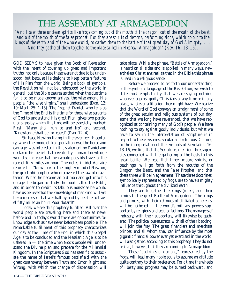# THE ASSEMBLY AT ARMAGEDDON

*"And I saw three unclean spirits like frogs coming out of the mouth of the dragon, out of the mouth of the beast, and out of the mouth of the false prophet. For they are spirits of demons, performing signs, which go out to the kings of the earth and of the whole world, to gather them to the battle of that great day of God Almighty. . . . And they gathered them together to the place called in Hebrew, Armageddon" (Rev. 16: 13-16).*

GOD SEEMS to have given the Book of Revelation with the intent of covering up great and important truths, not only because these were not due to be understood, but because He designs to keep certain features of His Plan from the world. Being a book of symbols, the Revelation will not be understood by the world in general, but the Bible assures us that when the due time for it to be made known arrives, the wise among His people, "the wise virgins," shall understand (Dan. 12: 10; Matt. 25: 1-13). The Prophet Daniel, who tells us the Time of the End is the time for those wise servants of God to understand His great Plan, gives two particular signs by which this time will be especially marked: First, "Many shall run to and fro" and second, "Knowledge shall be increased" (Dan. 12: 4).

Sir Isaac Newton living in the seventeenth century, when the mode of transportation was the horse and carriage, was interested in this statement by Daniel and declared his belief that eventually human knowledge would so increase that men would possibly travel at the rate of fifty miles an hour. The noted infidel Voltaire retorted — "Now look at the mighty mind of Newton, the great philosopher who discovered the law of gravitation: When he became an old man and got into his dotage, he began to study the book called the Bible, and in order to credit its fabulous nonsense he would have us believe that the knowledge of mankind will yet be so increased that we shall by and by be able to travel fifty miles an hour! Poor dotard!"

Today we see this prophecy fulfilled. All over the world people are traveling here and there as never before and in today's world there are opportunities for knowledge such as have never before been possible. The remarkable fulfillment of this prophecy characterizes our day as the Time of the End, in which this Gospel Age is to be concluded and the Messianic Age is to be ushered in — the time when God's people will understand the Divine plan and prepare for the Millennial Kingdom. In the Scriptures God has seen fit to associate the name of Israel's famous battlefield with the great controversy between Truth and Error, Right and Wrong, with which the change of dispensation will take place. While the phrase, "Battle of Armageddon," is heard on all sides and is applied in many ways, nevertheless Christians realize that in the Bible this phrase is used in a religious sense.

Before we proceed to set forth our understanding of the symbolic language of the Revelation, we wish to state most emphatically that we are saying nothing whatever against godly Christians at any time or in any place, whatever affiliation they might have. We realize that the Word of God conveys an arraignment of some of the great secular and religious systems of our day, some that we long have reverenced, that we have recognized as containing many of God's people. We have nothing to say against godly individuals, but what we have to say in the interpretation of Scripture is in respect to these systems, secular and religious. Coming to the interpretation of the symbols of Revelation 16: 13-16, we find that the Scriptures mention three agencies connected with the gathering of the hosts to this great battle. We read that three impure spirits, or teachings, will go forth from the mouths of the Dragon, the Beast, and the False Prophet, and that these three will be in agreement. These three doctrines, symbolically represented by frogs, are to have a mighty influence throughout the civilized earth.

They are to gather the kings (rulers) and their armies to the great Battle of Armageddon. The kings and princes, with their retinues of affiliated adherents, will be gathered — the world's military powers supported by religious and secular factions. The managers of industry, with their supporters, will likewise be gathered. The political bureaucrats, with all of their backing, will join the fray. The great financiers and merchant princes, and all whom they can influence by the most gigantic financial power ever yet exercised in the world, will also gather, according to this prophecy. They do not realize, however, that they are coming to Armageddon.

These "doctrines of demons," represented by the frogs, will lead many noble souls to assume an attitude quite contrary to their preference. For a time the wheels of liberty and progress may be turned backward, and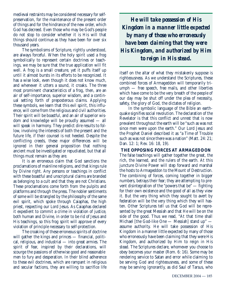medieval restraints may be considered necessary for selfpreservation, for the maintenance of the present order of things and for the hindrance of the new order, which God has decreed. Even those who may be God's people do not stop to consider whether it is His will that things should continue as they have been for over six thousand years.

The symbolisms of Scripture, rightly understood, are always forceful. When the holy spirit used a frog symbolically to represent certain doctrines or teachings, we may be sure that the true application will fit well. A frog is a small creature, yet it puffs itself up until it almost bursts in its efforts to be recognized. It has a wise look, even though it does not know much, and whenever it utters a sound, it croaks. The three most prominent characteristics of a frog, then, are an air of self-importance, superior wisdom, and a continual setting forth of preposterous claims. Applying these symbols, we learn that this evil spirit, this influence, will come from the religious and civil authorities. Their spirit will be boastful, and an air of superior wisdom and knowledge will be proudly assumed — all will speak in harmony. They predict dire results to follow, involving the interests of both the present and the future life, if their counsel is not heeded. Despite the conflicting creeds, these major differences will be ignored in their general proposition that nothing ancient must be investigated or repudiated, but that all things must remain as they are.

It is an erroneous claim that God sanctions the proclamations of mainline religions, and that kings rule by Divine right. Any persons or teachings in conflict with these boastful and unscriptural claims are branded as belonging to a cult and that they are not Christians. These proclamations come forth from the pulpits and platforms and through the press. The nobler sentiments of some will be strangled by the philosophy of the same evil spirit, which spoke through Caiaphas, the high priest, respecting our Lord Jesus. As Caiaphas declared it expedient to commit a crime in violation of justice, both human and Divine, in order to be rid of Jesus and His teachings, so this frog spirit will approve of every violation of principle necessary to self-protection.

The croaking of these erroneous spirits of doctrine will gather the kings and princes — financial, political, religious, and industrial — into great armies. The spirit of fear, inspired by their declarations, will scourge the passions of otherwise good and reasonable men to fury and desperation. In their blind adherence to these evil doctrines, which are rampant in religious and secular factions, they are willing to sacrifice life

*He will take possession of His Kingdom in a manner little expected by many of those who erroneously have been claiming that they were His Kingdom, and authorized by Him to reign in His stead.*

itself on the altar of what they mistakenly suppose is righteousness. As we understand the Scriptures, these combined forces of Armageddon will temporarily triumph — free speech, free mails, and other liberties which have come to be the very breath of the people of our day may be shut off under the plea of necessity, safety, the glory of God, the dictates of religion.

In the symbolic language of the Bible an earthquake signifies social revolution. The declaration of the Revelator is that this conflict and unrest that is now prevalent throughout the earth will be "such as was not since men were upon the earth." Our Lord Jesus and the Prophet Daniel described it as "a Time of Trouble such as was not since there was a nation" (Matt. 24: 21; Dan. 12: 1; Rev. 16: 18, 19).

**THE OPPOSING FORCES AT ARMAGEDDON** The false teachings will gather together the great, the rich, the learned, and the rulers of the earth. At this juncture Divine Power will step forward and marshal the hosts to Armageddon to the Mount of Destruction. The combining of forces, coming together in bigger numbers, betrays their fear; they are attempting to prevent disintegration of the "powers that be" — fighting for their own existence and the good of all as they view it. But the very thing which they sought to avert by federation will be the very thing which they will hasten. Other Scriptures tell us that God will be represented by the great Messiah and that He will be on the side of the good. Thus we read, "At that time shall Michael [the God-like One — Messiah] stand up" assume authority. He will take possession of His Kingdom in a manner little expected by many of those who erroneously have been claiming that they were His Kingdom, and authorized by Him to reign in His stead. The Scriptures declare, whomever you choose to obey becomes your master (Rom. 6: 16). Some may be rendering service to Satan and error while claiming to be serving God and righteousness, and some of these may be serving ignorantly, as did Saul of Tarsus, who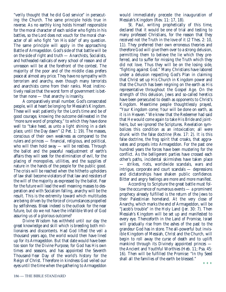"verily thought that he did God service" in persecuting the Church. The same principle holds true in reverse. As no earthly king holds himself responsible for the moral character of each soldier who fights in his battles, so the Lord does not vouch for the moral character of all who fight "on His side" of any question. The same principle will apply in the approaching Battle of Armageddon. God's side of that battle will be on the side of right and truth — Anarchists, Socialists, and hotheaded radicals of every school of reason and of unreason will be at the forefront of the contest. The majority of the poor and of the middle class prefers peace at almost any price. They have no sympathy with terrorism and anarchy, even though many terrorists and anarchists come from their ranks. Most instinctively realize that the worst form of government is better than none — that anarchy is insanity.

A comparatively small number, God's consecrated people, will at heart be longing for Messiah's Kingdom. These will wait patiently for the Lord's time and be of good courage, knowing the outcome delineated in the "more sure word of prophecy," to which they have done well to "take heed, as unto a light shining in a dark place, until the Day dawn" (2 Pet. 1: 19). The masses, conscious of their own weakness as compared to the rulers and princes — financial, religious, and political, who will then hold sway — will be restless. Through the ballot and the peaceful readjustment of earth's affairs they will seek for the elimination of evil, for the placing of monopolies, utilities, and the supplies of nature in the hands of the people for the public good. The crisis will be reached when the hitherto upholders of law shall become violators of that law and resisters of the will of the majority as expressed by the ballot. Fear for the future will lead the well meaning masses to desperation and with Socialism falling, anarchy will be the result. This is the extremity toward which multitudes are being driven by the force of circumstances propelled by selfishness. Bleak indeed is the outlook for the near future, but do we not have the infallible Word of God assuring us of a glorious outcome?

Divine Wisdom has withheld until our day the great knowledge and skill which is breeding both millionaires and discontents. Had God lifted the veil a thousand years ago, the world would then have lined up for its Armageddon. But that date would have been too soon for the Divine Purpose, for God has His own times and seasons, and has appointed the Seventh Thousand-Year Day of the world's history for the Reign of Christ. Therefore in kindness God veiled our eyes until the time when the gathering to Armageddon

would immediately precede the inauguration of Messiah's Kingdom (Rev. 11: 17, 18).

St. Paul, writing prophetically of this time, declared that it would be one of trial and testing to many professed Christians, for the reason that they received not the Truth in the love of it (2 Thes. 2: 10, 11). They preferred their own erroneous theories and therefore God will give them over to a strong delusion, permitting them to believe the lie which they preferred, and to suffer for missing the Truth which they did not love. Thus they will be on the losing side, "fighting against God." Many Christians have labored under a delusion respecting God's Plan in claiming that Christ set up His Church in Kingdom power and that the Church has been reigning on the earth as His representative throughout the Gospel Age. On the strength of this delusion, Jews and so-called heretics have been persecuted to death as opponents to Christ's Kingdom. Meantime people thoughtlessly prayed, "Your Kingdom come; Your will be done on earth, as it is in Heaven." We knew that the Redeemer had said that He would come again to take His Bride and jointheirs, but we ignored the Scriptures. Revelation symbolizes this condition as an intoxication; all were drunk with the false doctrine (Rev. 17: 2). It is this false doctrine, the frog spirit that croaks, that aggravates and propels into Armageddon. For the past one hundred years the forces have been mustering for the conflict. As the belligerent parties have crossed each other's paths, incidental skirmishes have taken place — strikes, riots, worldwide scandals, wars and intrigue, corporate and court scandals — depressions and dictatorships have shaken public confidence. Bitter and angry feelings are more and more manifest.

According to Scripture the great battle must follow the occurrence of numerous events — a prominent prophecy already fulfilled is the return of the Jews to their Palestinian homeland. At the very close of Anarchy, which marks the end of Armageddon, will be "Jacob's trouble" in the Holy Land (Jer. 30: 7). Then Messiah's Kingdom will be set up and manifested to every eye. Thenceforth in the Land of Promise, Israel will gradually rise from the ashes of the past to the grandeur God has in store. The all-powerful but invisible Kingdom of Messiah, Christ and the Church, will begin to roll away the curse of death and to uplift mankind through its Divinely appointed princes the Ancient and Youthful Worthies (Heb. 11; Psa. 45: 16). Then will be fulfilled the Promise: "In thy Seed shall all the families of the earth be blessed." \* \* \*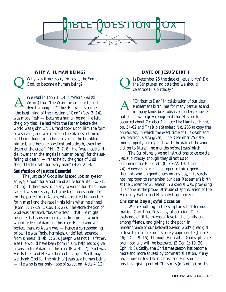

# **WHY A HUMAN BEING?**

Using Why was it necessary for Jesus, the Son of God, to become a human being? God, to become a human being?

We read in John 1: 14 (*American Revised Version*) that "the Word became flesh, and dwelt among us." Thus He who is termed "the beginning of the creation of God" (Rev. 3: 14), was made flesh — became a human being. He left the glory that He had with the Father before the world was (John 17: 5), "and took upon him the form of a servant, and was made in the likeness of men: and being found in fashion as a man, he humbled himself, and became obedient unto death, even the death of the cross" (Phil. 2: 7, 8). He "was made a little lower than the angels [a human being] for the suffering of death" — "that he by the grace of God should taste death for every man" (Heb. 2: 9). A

#### **Satisfaction of Justice Essential**

The justice of God's law is absolute: an eye for an eye, a tooth for a tooth and a life for a life (Ex. 21: 23-25). If there was to be any salvation for the human race, it was necessary that a perfect man should die for the perfect man Adam, who forfeited human life for himself and the race in his loins when he sinned (Rom. 5: 17-19; 1 Cor. 15: 22). Therefore the Son of God was carnated, "became flesh," that He might become that ransom (corresponding price), which would redeem Adam and his race. He became a perfect man, as Adam was — hence a corresponding price. He was "holy, harmless, undefiled, separate from sinners" (Heb. 7: 26). Joseph was not His father, else He would have been born in sin, helpless to give a ransom for Adam and his race (Psa. 49: 7). God was His Father, and He was born of a virgin. Well may we thank God for the birth of Jesus as a human being — He who is our only hope of salvation (Acts 4: 12).

### **DATE OF JESUS' BIRTH**

Is December 25 the date of Jesus' birth? Do the Scriptures indicate that we should celebrate His birthday?

"Christmas Day," in celebration of our dear Redeemer's birth, has for many centuries and in many lands been observed on December 25, but it is now largely recognized that His birth occurred about October 1 — see *The Time is at Hand,* pp. 54-62 and *The Bible Standard* No. 265 (a copy free on request, in which the exact time of His death and resurrection is also given). The December 25 date more properly corresponds with the date of the annunciation to Mary, nine months before Jesus' birth. A

The Scriptures give no instructions to celebrate Jesus' birthday, though they direct us to commemorate His death (Luke 22: 19; 1 Cor. 11: 24). However, since it is proper to think good thoughts and do good deeds on any day, it is surely not improper to remember our dear Redeemer's birth at the December 25 season in a special way, providing it is done in the proper attitude of appreciation of the Heavenly Father and His only begotten Son.

### **Christmas Day a Joyful Occasion**

We see nothing in the Scriptures that forbids making Christmas Day a joyful occasion. The exchange of little tokens of love in the family and among friends, and giving to the poor, in remembrance of our beloved Savior, God's great gift of love to all mankind, is surely appropriate (John 3: 16; 2 Cor. 9: 15). Through Him all of God's gifts are promised and will be bestowed (2 Cor. 1: 19, 20; Eph. 4: 8). Sadly, the Christmas season has become more and more abused by commercialization. Many have more or less taken Christ and His spirit of unselfish giving out of Christmas (meaning Christ's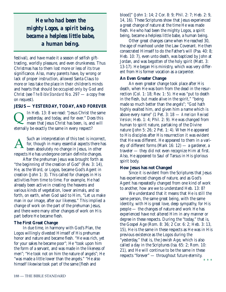*He who had been the mighty Logos, a spirit being, became a helpless little babe, a human being.*

festival), and have made it a season of selfish gifttrading, worldly pleasure, and even drunkeness. Thus Christmas has to them lost more or less of its true significance. Also, many parents have, by wrong or lack of proper instruction, allowed Santa Claus to more or less take the place in their children's minds and hearts that should be occupied only by God and Christ (see *The Bible Standard* No. 297 — a copy free on request).

### **JESUS — YESTERDAY, TODAY, AND FOREVER**

In Heb. 13: 8 we read: "Jesus Christ the same yesterday, and today, and for ever." Does this mean that Jesus Christ has been, is, and will eternally be exactly the same in every respect?  $\overline{\mathsf{Q}}$ 

Such an interpretation of this text is incorrect, for, though in many essential aspects there has been absolutely no change in Jesus, in other respects He has undergone certain definite changes. A

After the prehuman Jesus was brought forth as "the beginning of the creation of God" (Rev. 3: 14), He, as the Word, or Logos, became God's Agent in creation (John 1: 3). This called for changes in His activities from time to time. For example, He had already been active in creating the heavens and various kinds of vegetation, lower animals, and so forth, on earth, when God said to Him, "Let us make man in our image, after our likeness." This implied a change of work on the part of the prehuman Jesus, and there were many other changes of work on His part before He became flesh.

#### **The First Great Change**

In due time, in harmony with God's Plan, the Logos willingly divested Himself of His prehuman honor and nature and became flesh. "He was rich, yet for your sakes he became poor"; He "took upon him the form of a servant, and was made in the likeness of men"; "He took not on him the nature of angels"; He "was made a little lower than the angels." "He also himself likewise took part of the same [flesh and

blood]" (John 1: 14; 2 Cor. 8: 9; Phil. 2: 7; Heb. 2: 9, 14, 16). These Scriptures show that Jesus experienced a great change of nature at the time He was made flesh. He who had been the mighty Logos, a spirit being, became a helpless little babe, a human being.

Other great changes came when He reached 30, the age of manhood under the Law Covenant. He then consecrated Himself to do the Father's will (Psa. 40: 8; Heb. 10: 7), even unto death, was baptized by John at Jordan, and was begotten of the holy spirit (Matt. 3: 13-17). He began His ministry, which was very different from His former vocation as a carpenter.

#### **An Even Greater Change**

An even greater change took place after His death, when He was born from the dead in the resurrection (Col. 1: 18; Rev. 1: 5). He was "put to death in the flesh, but made alive in the spirit," "being made so much better than the angels"; "God hath highly exalted him, and given him a name which is above every name" (1 Pet. 3: 18 — *American Revised Version*; Heb. 1: 4; Phil. 2: 9). He was changed from human to spirit nature, partaking of the Divine nature (John 5: 26; 2 Pet. 1: 4). When He appeared to His disciples after His resurrection it was evident that He was different. He appeared to them in a variety of different forms (Mark 16: 12) — a gardener, a traveler — they did not even recognize Him at first. Also, He appeared to Saul of Tarsus in His glorious spirit body.

#### **How Jesus has not Changed**

Since it is evident from the Scriptures that Jesus has experienced changes of nature, and as God's Agent has repeatedly changed from one kind of work to another, how are we to understand Heb. 13: 8?

We understand that it means that He is still the same person, the same great being, with the same identity, with His great love, deep sympathy, for His people — the changes of nature and work He has experienced have not altered Him in any manner or degree in these respects. During the "today," that is, the Gospel Age (Rom. 8: 36; 2 Cor. 6: 2; Heb. 3: 13, 15), He is the same in these respects as He was in His previous existence as the Logos during the "yesterday," that is, the Jewish Age, which is also called a day in the Scriptures (Isa. 65: 2; Rom. 10: 21), and He will continue to be the same in these respects "forever" — throughout future eternity.

\* \* \*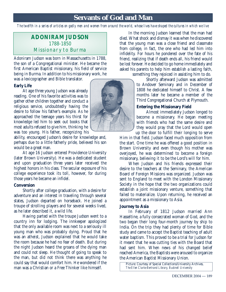# **Servants of God and Man**

*The twelfth in a series of articles on godly men and women from around the world, whose lives have shaped the cultures in which we live*

# **ADONIRAM JUDSON** 1788-1850 Missionary to Burma

Adoniram Judson was born in Massachusetts in 1788, the son of a Congregational minister. He became the first American Baptist missionary, his field of service being in Burma. In addition to his missionary work, he was a lexicographer and Bible translator.

#### **Early Life**

At age three young Judson was already reading. One of his favorite activities was to gather other children together and conduct a religious service, undoubtedly having the desire to follow his father's example. As he approached the teenage years his thirst for knowledge led him to seek out books that most adults refused to give him, thinking he was too young. His father, recognizing his

ability, encouraged Judson's desire for knowledge and, perhaps due to a little fatherly pride, believed his son would be a great man.

At age 16 Judson entered Providence University (later Brown University). He was a dedicated student and upon graduation three years later received the highest honors in his class. The secular exposure of his college experience took its toll, however, for during those years he became an infidel.

### **Conversion**

Shortly after college graduation, with a desire for adventure and an interest in traveling through several states, Judson departed on horseback. He joined a troupe of strolling players and for several weeks lived, as he later described it, a wild life.

Having parted with the troupe Judson went to a country inn for lodging. The innkeeper apologized that the only available room was next to a seriously ill young man who was probably dying. Proud that he was an atheist, Judson explained that he would take the room because he had no fear of death. But during the night Judson heard the groans of the dying man and could not sleep. He thought of going to speak to the man, but did not think there was anything he could say that would comfort him. He wondered if the man was a Christian or a Free Thinker like himself.



In the morning Judson learned that the man had died. What shock and dismay it was when he discovered that the young man was a close friend and classmate from college, in fact, the one who had led him into infidelity. For hours he pondered over the fate of his friend, realizing that if death ends all, his friend would be lost forever. He decided to go home immediately and asked his parents to help him establish a lasting faith,

something they rejoiced in assisting him to do.

Shortly afterward Judson was admitted to Andover Seminary and in December of 1808 he dedicated himself to Christ. A few months later he became a member of the Third Congregational Church at Plymouth.

# **Entering the Missionary Field**

Almost immediately Judson longed to become a missionary. He began meeting with friends who had the same desire and they would pray that the Lord would open up the door to fulfill their longing to serve

Him in that field. Judson faced much opposition from the start. One time he was offered a good position in Brown University and even though his mother was overjoyed, he was determined to become a foreign missionary, believing it to be the Lord's will for him.

When Judson and his friends expressed their desire to the teachers at the Seminary, the American Board of Foreign Missions was organized. Judson was sent to England to meet with the London Missionary Society in the hope that the two organizations could establish a joint missionary venture, something that failed to materialize. Upon returning, he received an appointment as a missionary to Asia.

# **Journey to Asia**

In February of 1812 Judson married Ann Hasseltine, a fully consecrated woman of God, and the two began their long four-month journey by ship to India. On the trip they had plenty of time for Bible study and came to accept the Baptist teaching of adult water baptism. This proved to be a trial for Judson for it meant that he was cutting ties with the Board that had sent him. When news of his changed belief reached America, the Baptists were aroused to organize the American Baptist Missionary Union.

Picture: Courtesy of Special Collections/University Archives, *The Ellen Clarke Bertrand Library, Bucknell University*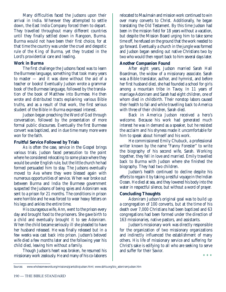Many difficulties faced the Judsons upon their arrival in India. Wherever they attempted to settle down, the East India Company forced them to depart. They travelled throughout many different countries until they finally settled down in Rangoon, Burma. Burma would not have been their first choice, for at that time the country was under the cruel and despotic rule of the King of Burma, yet they trusted in the Lord's providential care and leading.

# **Work in Burma**

The first challenge the Judsons faced was to learn the Burmese language, something that took many years to master — and it was done without the aid of a teacher or books! Eventually Judson wrote a grammar book of the Burmese language, followed by the translation of the book of Matthew into Burmese. He then wrote and distributed tracts explaining various Bible truths, and as a result of that work, the first serious student of the Bible in Burma expressed interest.

Judson began preaching the Word of God through conversation, followed by the presentation of more formal public discourses. Eventually the first Burmese convert was baptized, and in due time many more were won for the faith.

# **Fruitful Service Followed by Trials**

As is often the case, service in the Gospel brings various trials. Judson faced persecution to the point where he considered relocating to some place where they would be under English rule, but the little church he had formed persuaded him to stay. The Judsons eventually moved to Ava where they were blessed again with numerous opportunities of service. When war broke out between Burma and India the Burmese government suspected the Judsons of being spies and Adoniram was sent to a prison for 21 months. The conditions in prison were horrible and he was forced to wear heavy fetters on his legs and ankles the entire time.

His courageous wife, Ann, went to the prison every day and brought food to the prisoners. She gave birth to a child and eventually brought it to see Adoniram. When the child became seriously ill she pleaded to have her husband released. He was finally released but in a few weeks was cast back into prison. Judson's beloved wife died a few months later and the following year his child died, leaving him without a family.

Though Judson's heart was broken, he resumed his missionary work zealously. He and many of his co-laborers

relocated to Maulmain and mission work continued to win over many converts to Christ. Additionally, he began translating the Old Testament. By this time Judson had been in the mission field for 18 years without a vacation, but despite the Mission Board urging him to take some time off, he refused on the ground that the work needed to go forward. Eventually a church in the jungle was formed and Judson began sending out native Christians two by two who would then report back to him several days later.

# **Another Companion Found**

After eight years, Judson married Sarah Hall Boardman, the widow of a missionary associate. Sarah was a Bible translator, author, and hymnist, and before her first husband died, she had founded a school for girls among a mountain tribe in Tavoy. In 11 years of marriage Adoniram and Sarah had eight children, one of whom died in childbirth. Their nonstop labors caused their health to fail and while travelling back to America with three of their children, Sarah died.

Back in America Judson received a hero's welcome. Because his work had generated much interest he was in demand as a speaker, but he resisted the acclaim and his shyness made it uncomfortable for him to speak about himself and his work.

He commissioned Emily Chubuck, a professional writer known by the name "Fanny Forester" to write the biography of his second wife, Sarah. Working together, they fell in love and married. Emily travelled back to Burma with Judson where she finished the biography. They had two children.

Judson's health continued to decline despite his efforts to regain it by taking a restful voyage in the Indian Ocean. He died at sea, and they lowered his body into the water in respectful silence, but without a word of prayer.

# **Concluding Thoughts**

Adoniram Judson's original goal was to build up a congregation of 100 converts, but at the time of his death over 7,000 Christians had been baptized and 63 congregations had been formed under the direction of 163 missionaries, native pastors, and assistants.

Judson's missionary work was directly responsible for the organization of two missionary organizations and indirectly influenced the establishment of many others. His life of missionary service and suffering for Christ's sake is edifying to all who are seeking to serve and suffer for their Savior. \* \* \*

Sources: www.wholesomewords.org/missions/giants/biojudson.html; www.sbhla.org/bio\_adoniramjudson.htm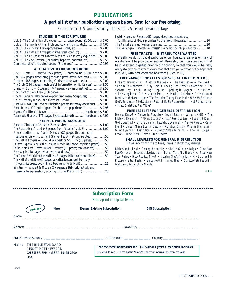# **PUBLICATIONS**

#### **A partial list of our publications appears below. Send for our free catalog.**

*Prices are for U.S. addresses only; others add 25 percent toward postage.*

#### **STUDIES IN THE SCRIPTURES**

| Vol. 1, The Divine Plan of the Ages  paperbound \$1.50, cloth \$3.00     |  |
|--------------------------------------------------------------------------|--|
| Vol. 2, The Time Is At Hand (chronology, antichrist, etc.) \$4.00        |  |
|                                                                          |  |
| Vol. 4, The Battle of Armageddon (the great conflict)  \$ 2.00           |  |
| Vol. 5, The At-One-Ment Between God and Man (clearly explained)  \$ 2.00 |  |
| Vol. 6, The New Creation (its duties, baptism, sabbath, etc.) \$2.50     |  |
|                                                                          |  |

#### **ATTRACTIVE HARDBOUND BOOKS**

| $Life$ — Death — Hereafter (224 pages)  paperbound \$1.50, cloth \$2.00 |  |
|-------------------------------------------------------------------------|--|
| God (547 pages; describing Jehovah's great attributes, etc.)  \$2.00    |  |
| Creation (585 pages; describing God's creative work, etc.) \$2.00       |  |
| The Bible (794 pages; much useful information on it, its uses)  \$2.50  |  |
| Christ — Spirit — Covenants (744 pages, very informative)  \$2.50       |  |
|                                                                         |  |
| <i>The Millennium</i> (480 pages; expounding many Scriptures) \$ 7.00   |  |
|                                                                         |  |
| Poems of Dawn (300 choice Christian poems for many occasions) \$5.00    |  |
| <i>Photo-Drama of Creation</i> (good for children; paperbound)  \$4.95  |  |
|                                                                         |  |
| Tabernacle Shadows (176 pages, types explained)  hardbound \$4.00       |  |

#### **HELPFUL PRICED BOOKLETS**

| Jewish Hopes and Prospects (52 pages; describes present-day |  |  |
|-------------------------------------------------------------|--|--|
|                                                             |  |  |

|  |  | The Teachings of "Jehovah's Witnesses" Examined (points pro and con) 10 |  |  |
|--|--|-------------------------------------------------------------------------|--|--|

#### **FREE TRACTS — DISTRIBUTORS WANTED**

Generally we do not pay distributors of our literature. Samples of many of our items will be provided on request. Preferably, our literature should first be studied and digested prior to distribution, so that you would be ready always to give an answer to every man that asks you a reason of the hope that is in you, with gentleness and reverence (1 Pet. 3: 15).

#### **FREE 24-PAGE BOOKLETS FOR SPECIAL LIMITED NEEDS**

*Life and Immortality • What is the Soul? • The Resurrection of the Dead • Spiritism is Demonism • Why Does A Loving God Permit Calamities? • The Sabbath Day • Faith Healing • Baptism • Speaking in Tongues — Is it of God? • The Kingdom of God • Mormonism — A Modern Delusion • Preservation of Identity in the Resurrection • The Evolution Theory Examined • Why We Believe in God's Existence • The Rapture • Future Life By Resurrection — Not Reincarnation • Must Christians Pay Tithes?*

#### **FREE LEAFLETS FOR GENERAL DISTRIBUTION**

*Do You Know? • Thieves In Paradise • Israel's Return • What is Hell? • The Bible vs. Evolution • "Flying Saucers" • Jesus' Second Advent • Judgment Day • God Loves You! • Earth's Coming Theocratic Government • War on Poverty • Oathbound Promise • Man's Eternal Destiny • Pollution Crisis • What is the Truth? • Great Pyramid • Restitution • Is God or Satan Winning? • The Full Gospel • Peace — How it Will Come • True Freedom*

#### **SMALL LEAFLETS FOR GENERAL DISTRIBUTION** Titles vary from time to time; items in stock may change.

*Bible Standard Ad • Coming By and By • Christ's Glorious Reign • Close Your Eyes/DP Ad • Desolation/Restoration • Father Take My Hand • A Good New Year Recipe • How Readest Thou? • Nearing God's Kingdom • My Lord and I/ Picture • 23rd Psalm • Salvation/All Things New • Scripture Studies Ad • Watchman, What of the Night?*

**\*\*\***

# **Subscription Form**

*Please print in capital letters*

|             | <b>New</b><br>circle one                                                                                              | <b>Renew Existing Subscription</b> | <b>Gift Subscription</b>                                                                                                                                     |  |  |
|-------------|-----------------------------------------------------------------------------------------------------------------------|------------------------------------|--------------------------------------------------------------------------------------------------------------------------------------------------------------|--|--|
| Name $_{-}$ | <u> 1980 - Jan Barat, politik eta politik eta politik eta politik eta politik eta politik eta politik eta politik</u> |                                    |                                                                                                                                                              |  |  |
|             |                                                                                                                       |                                    |                                                                                                                                                              |  |  |
|             | State/Province/County                                                                                                 |                                    |                                                                                                                                                              |  |  |
| Mail to     | THE BIBLE STANDARD<br>1156 ST MATTHEWS RD<br>CHESTER SPRINGS PA 19425-2700<br><b>USA</b>                              |                                    | I enclose check/money order for [ ] \$12.00 for 1 year's subscription (12 issues)<br>Or, send to me [ ] Free as the "Lord's Poor," on annual written request |  |  |